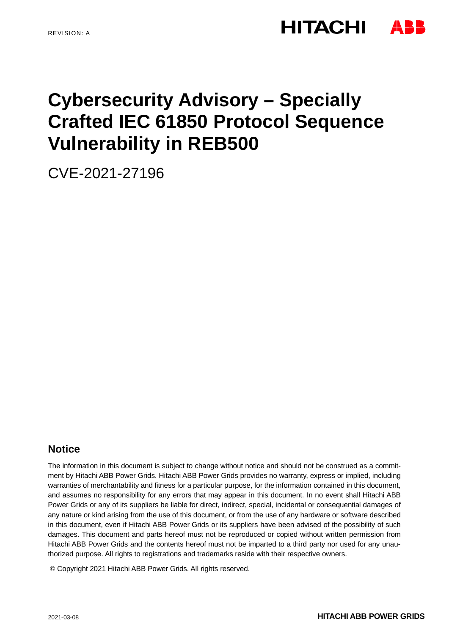# **HITACHI**

# **Cybersecurity Advisory – Specially Crafted IEC 61850 Protocol Sequence Vulnerability in REB500**

CVE-2021-27196

## **Notice**

The information in this document is subject to change without notice and should not be construed as a commitment by Hitachi ABB Power Grids. Hitachi ABB Power Grids provides no warranty, express or implied, including warranties of merchantability and fitness for a particular purpose, for the information contained in this document, and assumes no responsibility for any errors that may appear in this document. In no event shall Hitachi ABB Power Grids or any of its suppliers be liable for direct, indirect, special, incidental or consequential damages of any nature or kind arising from the use of this document, or from the use of any hardware or software described in this document, even if Hitachi ABB Power Grids or its suppliers have been advised of the possibility of such damages. This document and parts hereof must not be reproduced or copied without written permission from Hitachi ABB Power Grids and the contents hereof must not be imparted to a third party nor used for any unauthorized purpose. All rights to registrations and trademarks reside with their respective owners.

© Copyright 2021 Hitachi ABB Power Grids. All rights reserved.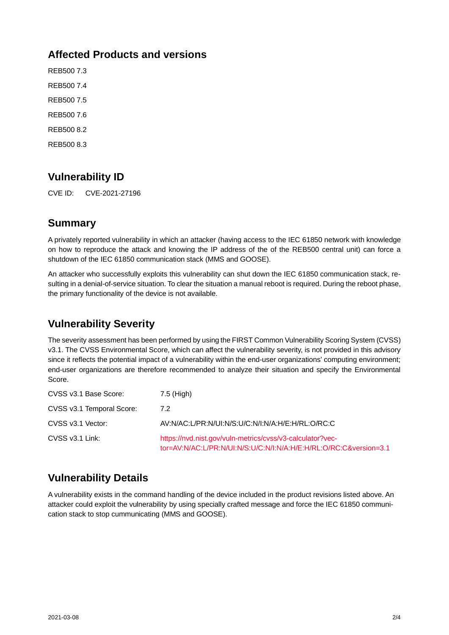## **Affected Products and versions**

REB500 7.3 REB500 7.4 REB500 7.5 REB500 7.6 REB500 8.2 REB500 8.3

# **Vulnerability ID**

CVE ID: CVE-2021-27196

### **Summary**

A privately reported vulnerability in which an attacker (having access to the IEC 61850 network with knowledge on how to reproduce the attack and knowing the IP address of the of the REB500 central unit) can force a shutdown of the IEC 61850 communication stack (MMS and GOOSE).

An attacker who successfully exploits this vulnerability can shut down the IEC 61850 communication stack, resulting in a denial-of-service situation. To clear the situation a manual reboot is required. During the reboot phase, the primary functionality of the device is not available.

# **Vulnerability Severity**

The severity assessment has been performed by using the FIRST Common Vulnerability Scoring System (CVSS) v3.1. The CVSS Environmental Score, which can affect the vulnerability severity, is not provided in this advisory since it reflects the potential impact of a vulnerability within the end-user organizations' computing environment; end-user organizations are therefore recommended to analyze their situation and specify the Environmental Score.

| CVSS v3.1 Base Score:     | 7.5 (High)                                                                                                                     |
|---------------------------|--------------------------------------------------------------------------------------------------------------------------------|
| CVSS v3.1 Temporal Score: | 7.2                                                                                                                            |
| CVSS v3.1 Vector:         | AV:N/AC:L/PR:N/UI:N/S:U/C:N/I:N/A:H/E:H/RL:O/RC:C                                                                              |
| CVSS v3.1 Link:           | https://nvd.nist.gov/vuln-metrics/cvss/v3-calculator?vec-<br>tor=AV:N/AC:L/PR:N/UI:N/S:U/C:N/I:N/A:H/E:H/RL:O/RC:C&version=3.1 |

# **Vulnerability Details**

A vulnerability exists in the command handling of the device included in the product revisions listed above. An attacker could exploit the vulnerability by using specially crafted message and force the IEC 61850 communication stack to stop cummunicating (MMS and GOOSE).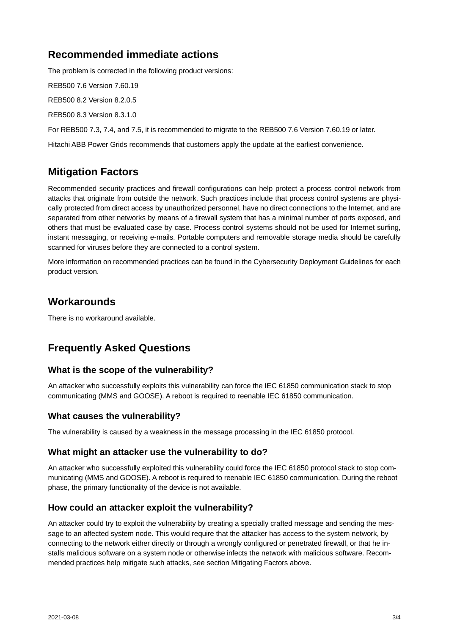## **Recommended immediate actions**

The problem is corrected in the following product versions:

REB500 7.6 Version 7.60.19 REB500 8.2 Version 8.2.0.5 REB500 8.3 Version 8.3.1.0

For REB500 7.3, 7.4, and 7.5, it is recommended to migrate to the REB500 7.6 Version 7.60.19 or later.

Hitachi ABB Power Grids recommends that customers apply the update at the earliest convenience.

# **Mitigation Factors**

Recommended security practices and firewall configurations can help protect a process control network from attacks that originate from outside the network. Such practices include that process control systems are physically protected from direct access by unauthorized personnel, have no direct connections to the Internet, and are separated from other networks by means of a firewall system that has a minimal number of ports exposed, and others that must be evaluated case by case. Process control systems should not be used for Internet surfing, instant messaging, or receiving e-mails. Portable computers and removable storage media should be carefully scanned for viruses before they are connected to a control system.

More information on recommended practices can be found in the Cybersecurity Deployment Guidelines for each product version.

### **Workarounds**

There is no workaround available.

# **Frequently Asked Questions**

#### **What is the scope of the vulnerability?**

An attacker who successfully exploits this vulnerability can force the IEC 61850 communication stack to stop communicating (MMS and GOOSE). A reboot is required to reenable IEC 61850 communication.

#### **What causes the vulnerability?**

The vulnerability is caused by a weakness in the message processing in the IEC 61850 protocol.

#### **What might an attacker use the vulnerability to do?**

An attacker who successfully exploited this vulnerability could force the IEC 61850 protocol stack to stop communicating (MMS and GOOSE). A reboot is required to reenable IEC 61850 communication. During the reboot phase, the primary functionality of the device is not available.

#### **How could an attacker exploit the vulnerability?**

An attacker could try to exploit the vulnerability by creating a specially crafted message and sending the message to an affected system node. This would require that the attacker has access to the system network, by connecting to the network either directly or through a wrongly configured or penetrated firewall, or that he installs malicious software on a system node or otherwise infects the network with malicious software. Recommended practices help mitigate such attacks, see section Mitigating Factors above.